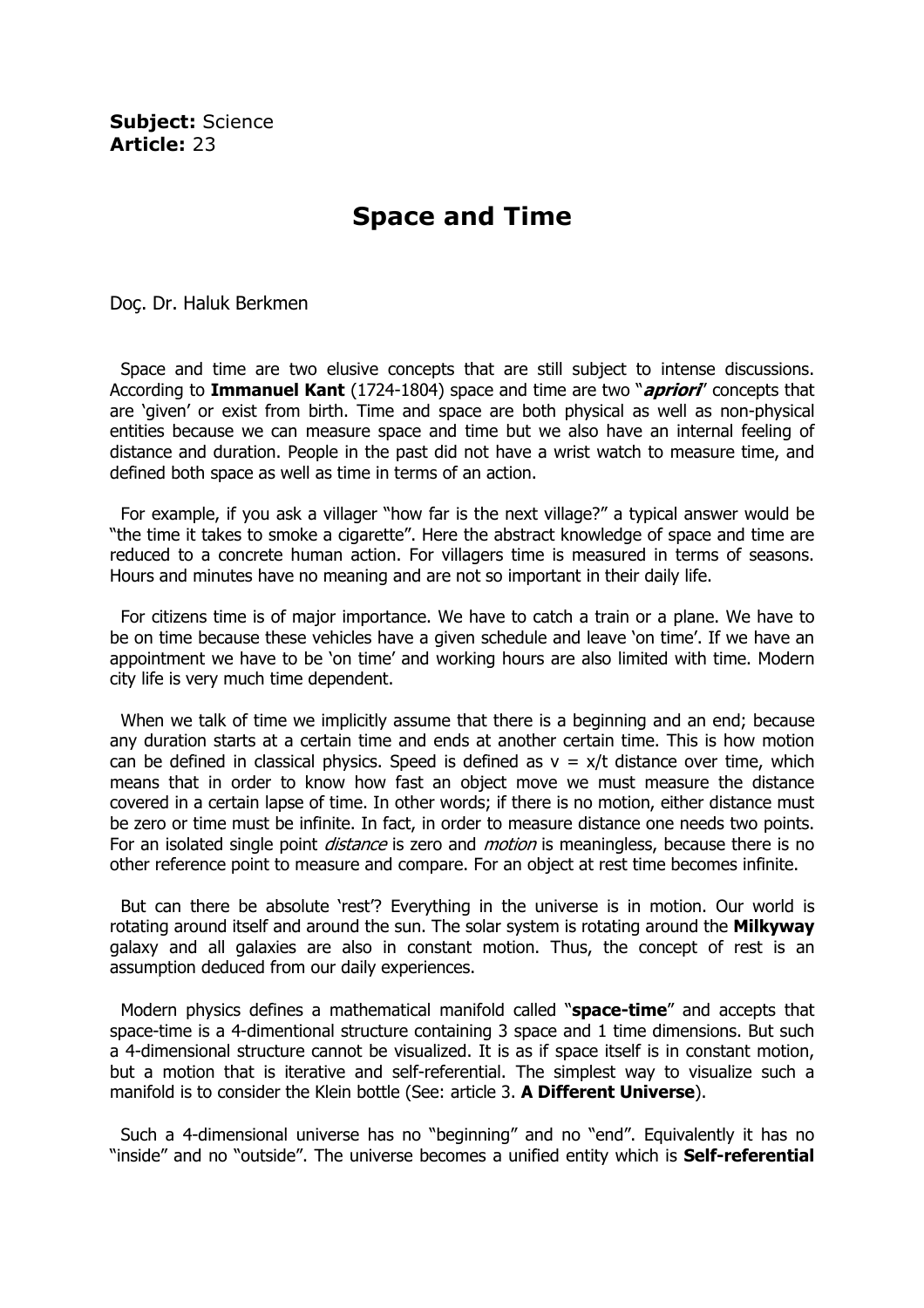Subject: Science Article: 23

## Space and Time

Doç. Dr. Haluk Berkmen

 Space and time are two elusive concepts that are still subject to intense discussions. According to Immanuel Kant (1724-1804) space and time are two " $apriori'$  concepts that are 'given' or exist from birth. Time and space are both physical as well as non-physical entities because we can measure space and time but we also have an internal feeling of distance and duration. People in the past did not have a wrist watch to measure time, and defined both space as well as time in terms of an action.

 For example, if you ask a villager "how far is the next village?" a typical answer would be "the time it takes to smoke a cigarette". Here the abstract knowledge of space and time are reduced to a concrete human action. For villagers time is measured in terms of seasons. Hours and minutes have no meaning and are not so important in their daily life.

 For citizens time is of major importance. We have to catch a train or a plane. We have to be on time because these vehicles have a given schedule and leave 'on time'. If we have an appointment we have to be 'on time' and working hours are also limited with time. Modern city life is very much time dependent.

When we talk of time we implicitly assume that there is a beginning and an end; because any duration starts at a certain time and ends at another certain time. This is how motion can be defined in classical physics. Speed is defined as  $v = x/t$  distance over time, which means that in order to know how fast an object move we must measure the distance covered in a certain lapse of time. In other words; if there is no motion, either distance must be zero or time must be infinite. In fact, in order to measure distance one needs two points. For an isolated single point *distance* is zero and *motion* is meaningless, because there is no other reference point to measure and compare. For an object at rest time becomes infinite.

But can there be absolute 'rest'? Everything in the universe is in motion. Our world is rotating around itself and around the sun. The solar system is rotating around the Milkyway galaxy and all galaxies are also in constant motion. Thus, the concept of rest is an assumption deduced from our daily experiences.

Modern physics defines a mathematical manifold called "**space-time**" and accepts that space-time is a 4-dimentional structure containing 3 space and 1 time dimensions. But such a 4-dimensional structure cannot be visualized. It is as if space itself is in constant motion, but a motion that is iterative and self-referential. The simplest way to visualize such a manifold is to consider the Klein bottle (See: article 3. A Different Universe).

 Such a 4-dimensional universe has no "beginning" and no "end". Equivalently it has no "inside" and no "outside". The universe becomes a unified entity which is Self-referential